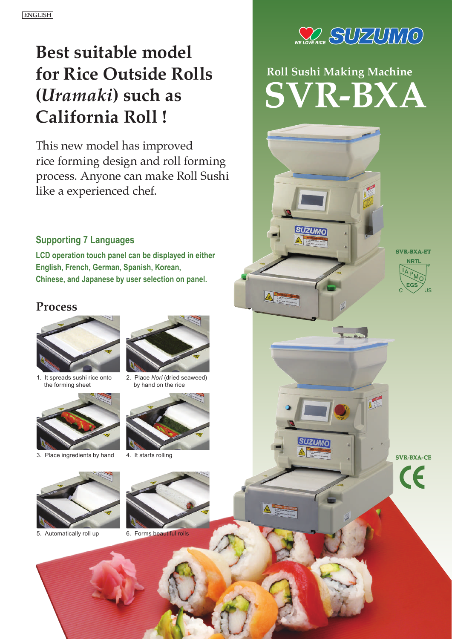## **Best suitable model for Rice Outside Rolls (***Uramaki***) such as California Roll !**

This new model has improved rice forming design and roll forming process. Anyone can make Roll Sushi like a experienced chef.

### **Supporting 7 Languages**

**LCD operation touch panel can be displayed in either English, French, German, Spanish, Korean, Chinese, and Japanese by user selection on panel.**

## **Process**



1. It spreads sushi rice onto the forming sheet



3. Place ingredients by hand 4. It starts rolling



5. Automatically roll up 6. Forms beautiful rolls



 $\triangle$ 

A

2. Place *Nori* (dried seaweed) by hand on the rice







# **Roll Sushi Making Machine**  $R$ -BXA

 $\overline{\phantom{a}}$ 

**SVR-BXA-ETNRT** 



**SVR-BXA-CE**  $\epsilon$